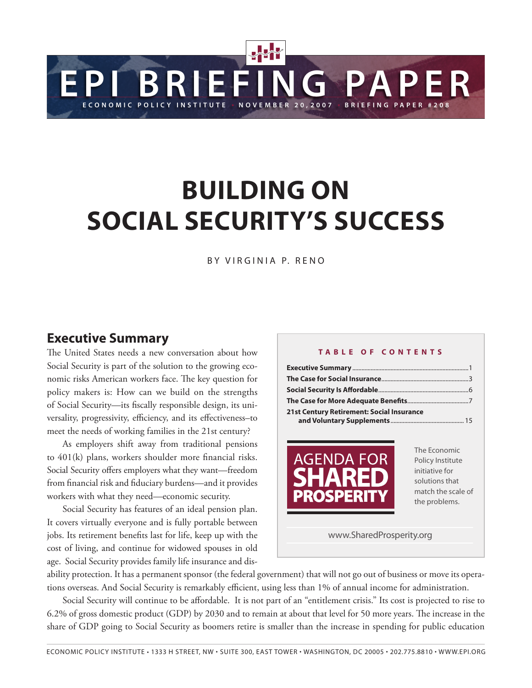# **Building on Social Security's success**

**EPI BRIEFING PAPER**

BY VIRGINIA P. RENO

### **Executive Summary**

The United States needs a new conversation about how Social Security is part of the solution to the growing economic risks American workers face. The key question for policy makers is: How can we build on the strengths of Social Security—its fiscally responsible design, its universality, progressivity, efficiency, and its effectiveness–to meet the needs of working families in the 21st century?

As employers shift away from traditional pensions to 401(k) plans, workers shoulder more financial risks. Social Security offers employers what they want—freedom from financial risk and fiduciary burdens—and it provides workers with what they need—economic security.

Social Security has features of an ideal pension plan. It covers virtually everyone and is fully portable between jobs. Its retirement benefits last for life, keep up with the cost of living, and continue for widowed spouses in old age. Social Security provides family life insurance and dis-

#### **T a b l e of C ont e n t s**

20, 2007 · BRIEFING PAPE

| 21st Century Retirement: Social Insurance               |                                                                                                             |
|---------------------------------------------------------|-------------------------------------------------------------------------------------------------------------|
| <b>AGENDA FOR</b><br><b>SHARED</b><br><b>PROSPERITY</b> | The Economic<br>Policy Institute<br>initiative for<br>solutions that<br>match the scale of<br>the problems. |
| www.SharedProsperity.org                                |                                                                                                             |

ability protection. It has a permanent sponsor (the federal government) that will not go out of business or move its operations overseas. And Social Security is remarkably efficient, using less than 1% of annual income for administration.

Social Security will continue to be affordable. It is not part of an "entitlement crisis." Its cost is projected to rise to 6.2% of gross domestic product (GDP) by 2030 and to remain at about that level for 50 more years. The increase in the share of GDP going to Social Security as boomers retire is smaller than the increase in spending for public education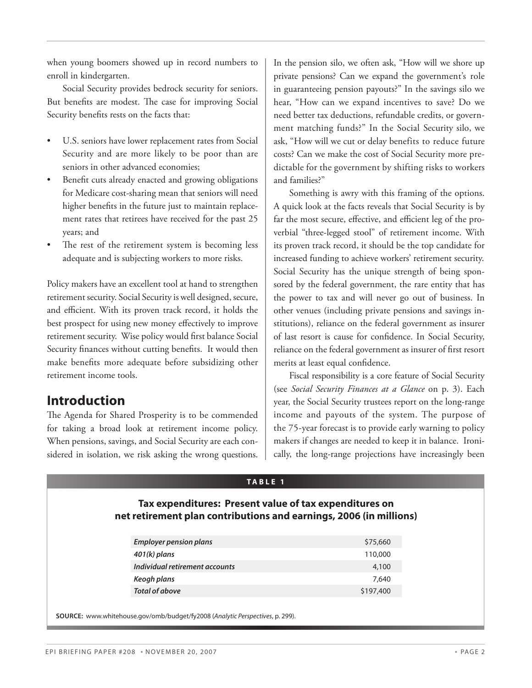when young boomers showed up in record numbers to enroll in kindergarten.

Social Security provides bedrock security for seniors. But benefits are modest. The case for improving Social Security benefits rests on the facts that:

- U.S. seniors have lower replacement rates from Social Security and are more likely to be poor than are seniors in other advanced economies;
- Benefit cuts already enacted and growing obligations for Medicare cost-sharing mean that seniors will need higher benefits in the future just to maintain replacement rates that retirees have received for the past 25 years; and
- The rest of the retirement system is becoming less adequate and is subjecting workers to more risks.

Policy makers have an excellent tool at hand to strengthen retirement security. Social Security is well designed, secure, and efficient. With its proven track record, it holds the best prospect for using new money effectively to improve retirement security. Wise policy would first balance Social Security finances without cutting benefits. It would then make benefits more adequate before subsidizing other retirement income tools.

# **Introduction**

The Agenda for Shared Prosperity is to be commended for taking a broad look at retirement income policy. When pensions, savings, and Social Security are each considered in isolation, we risk asking the wrong questions. In the pension silo, we often ask, "How will we shore up private pensions? Can we expand the government's role in guaranteeing pension payouts?" In the savings silo we hear, "How can we expand incentives to save? Do we need better tax deductions, refundable credits, or government matching funds?" In the Social Security silo, we ask, "How will we cut or delay benefits to reduce future costs? Can we make the cost of Social Security more predictable for the government by shifting risks to workers and families?"

Something is awry with this framing of the options. A quick look at the facts reveals that Social Security is by far the most secure, effective, and efficient leg of the proverbial "three-legged stool" of retirement income. With its proven track record, it should be the top candidate for increased funding to achieve workers' retirement security. Social Security has the unique strength of being sponsored by the federal government, the rare entity that has the power to tax and will never go out of business. In other venues (including private pensions and savings institutions), reliance on the federal government as insurer of last resort is cause for confidence. In Social Security, reliance on the federal government as insurer of first resort merits at least equal confidence.

Fiscal responsibility is a core feature of Social Security (see *Social Security Finances at a Glance* on p. 3). Each year, the Social Security trustees report on the long-range income and payouts of the system. The purpose of the 75-year forecast is to provide early warning to policy makers if changes are needed to keep it in balance. Ironically, the long-range projections have increasingly been

#### **TA B L E 1**

#### **Tax expenditures: Present value of tax expenditures on net retirement plan contributions and earnings, 2006 (in millions)**

| <b>Employer pension plans</b>  | \$75,660  |
|--------------------------------|-----------|
| $401(k)$ plans                 | 110,000   |
| Individual retirement accounts | 4,100     |
| Keogh plans                    | 7.640     |
| Total of above                 | \$197,400 |

**Source:** www.whitehouse.gov/omb/budget/fy2008 (*Analytic Perspectives*, p. 299).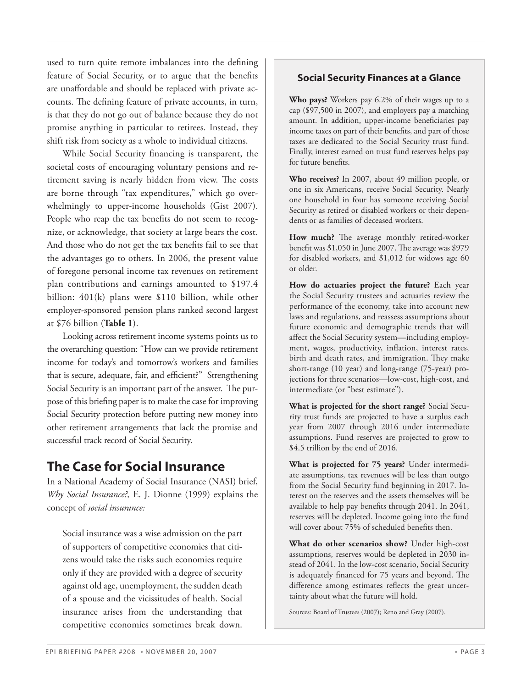used to turn quite remote imbalances into the defining feature of Social Security, or to argue that the benefits are unaffordable and should be replaced with private accounts. The defining feature of private accounts, in turn, is that they do not go out of balance because they do not promise anything in particular to retirees. Instead, they shift risk from society as a whole to individual citizens.

While Social Security financing is transparent, the societal costs of encouraging voluntary pensions and retirement saving is nearly hidden from view. The costs are borne through "tax expenditures," which go overwhelmingly to upper-income households (Gist 2007). People who reap the tax benefits do not seem to recognize, or acknowledge, that society at large bears the cost. And those who do not get the tax benefits fail to see that the advantages go to others. In 2006, the present value of foregone personal income tax revenues on retirement plan contributions and earnings amounted to \$197.4 billion: 401(k) plans were \$110 billion, while other employer-sponsored pension plans ranked second largest at \$76 billion (**Table 1**).

Looking across retirement income systems points us to the overarching question: "How can we provide retirement income for today's and tomorrow's workers and families that is secure, adequate, fair, and efficient?" Strengthening Social Security is an important part of the answer. The purpose of this briefing paper is to make the case for improving Social Security protection before putting new money into other retirement arrangements that lack the promise and successful track record of Social Security.

# **The Case for Social Insurance**

In a National Academy of Social Insurance (NASI) brief, *Why Social Insurance?,* E. J. Dionne (1999) explains the concept of *social insurance:* 

Social insurance was a wise admission on the part of supporters of competitive economies that citizens would take the risks such economies require only if they are provided with a degree of security against old age, unemployment, the sudden death of a spouse and the vicissitudes of health. Social insurance arises from the understanding that competitive economies sometimes break down.

### **Social Security Finances at a Glance**

**Who pays?** Workers pay 6.2% of their wages up to a cap (\$97,500 in 2007), and employers pay a matching amount. In addition, upper-income beneficiaries pay income taxes on part of their benefits, and part of those taxes are dedicated to the Social Security trust fund. Finally, interest earned on trust fund reserves helps pay for future benefits.

**Who receives?** In 2007, about 49 million people, or one in six Americans, receive Social Security. Nearly one household in four has someone receiving Social Security as retired or disabled workers or their dependents or as families of deceased workers.

**How much?** The average monthly retired-worker benefit was \$1,050 in June 2007. The average was \$979 for disabled workers, and \$1,012 for widows age 60 or older.

**How do actuaries project the future?** Each year the Social Security trustees and actuaries review the performance of the economy, take into account new laws and regulations, and reassess assumptions about future economic and demographic trends that will affect the Social Security system—including employment, wages, productivity, inflation, interest rates, birth and death rates, and immigration. They make short-range (10 year) and long-range (75-year) projections for three scenarios—low-cost, high-cost, and intermediate (or "best estimate").

**What is projected for the short range?** Social Security trust funds are projected to have a surplus each year from 2007 through 2016 under intermediate assumptions. Fund reserves are projected to grow to \$4.5 trillion by the end of 2016.

**What is projected for 75 years?** Under intermediate assumptions, tax revenues will be less than outgo from the Social Security fund beginning in 2017. Interest on the reserves and the assets themselves will be available to help pay benefits through 2041. In 2041, reserves will be depleted. Income going into the fund will cover about 75% of scheduled benefits then.

**What do other scenarios show?** Under high-cost assumptions, reserves would be depleted in 2030 instead of 2041. In the low-cost scenario, Social Security is adequately financed for 75 years and beyond. The difference among estimates reflects the great uncertainty about what the future will hold.

Sources: Board of Trustees (2007); Reno and Gray (2007).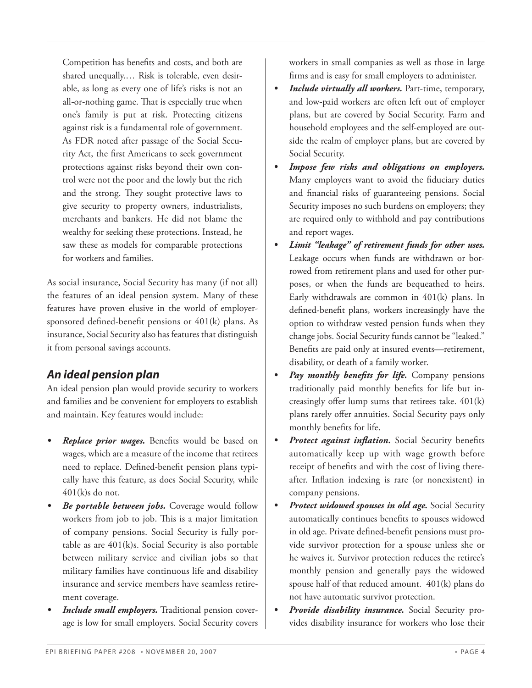Competition has benefits and costs, and both are shared unequally.… Risk is tolerable, even desirable, as long as every one of life's risks is not an all-or-nothing game. That is especially true when one's family is put at risk. Protecting citizens against risk is a fundamental role of government. As FDR noted after passage of the Social Security Act, the first Americans to seek government protections against risks beyond their own control were not the poor and the lowly but the rich and the strong. They sought protective laws to give security to property owners, industrialists, merchants and bankers. He did not blame the wealthy for seeking these protections. Instead, he saw these as models for comparable protections for workers and families.

As social insurance, Social Security has many (if not all) the features of an ideal pension system. Many of these features have proven elusive in the world of employersponsored defined-benefit pensions or 401(k) plans. As insurance, Social Security also has features that distinguish it from personal savings accounts.

### *An ideal pension plan*

An ideal pension plan would provide security to workers and families and be convenient for employers to establish and maintain. Key features would include:

- **Replace prior wages.** Benefits would be based on wages, which are a measure of the income that retirees need to replace. Defined-benefit pension plans typically have this feature, as does Social Security, while 401(k)s do not.
- *Be portable between jobs.* Coverage would follow workers from job to job. This is a major limitation of company pensions. Social Security is fully portable as are 401(k)s. Social Security is also portable between military service and civilian jobs so that military families have continuous life and disability insurance and service members have seamless retirement coverage.
- *Include small employers.* Traditional pension coverage is low for small employers. Social Security covers

workers in small companies as well as those in large firms and is easy for small employers to administer.

- *• Include virtually all workers.* Part-time, temporary, and low-paid workers are often left out of employer plans, but are covered by Social Security. Farm and household employees and the self-employed are outside the realm of employer plans, but are covered by Social Security.
- Impose few risks and obligations on employers. Many employers want to avoid the fiduciary duties and financial risks of guaranteeing pensions. Social Security imposes no such burdens on employers; they are required only to withhold and pay contributions and report wages.
- Limit "leakage" of retirement funds for other uses. Leakage occurs when funds are withdrawn or borrowed from retirement plans and used for other purposes, or when the funds are bequeathed to heirs. Early withdrawals are common in 401(k) plans. In defined-benefit plans, workers increasingly have the option to withdraw vested pension funds when they change jobs. Social Security funds cannot be "leaked." Benefits are paid only at insured events—retirement, disability, or death of a family worker.
- *Pay monthly benefits for life.* Company pensions traditionally paid monthly benefits for life but increasingly offer lump sums that retirees take. 401(k) plans rarely offer annuities. Social Security pays only monthly benefits for life.
- *Protect against inflation.* Social Security benefits automatically keep up with wage growth before receipt of benefits and with the cost of living thereafter. Inflation indexing is rare (or nonexistent) in company pensions.
- **Protect widowed spouses in old age.** Social Security automatically continues benefits to spouses widowed in old age. Private defined-benefit pensions must provide survivor protection for a spouse unless she or he waives it. Survivor protection reduces the retiree's monthly pension and generally pays the widowed spouse half of that reduced amount. 401(k) plans do not have automatic survivor protection.
- Provide disability insurance. Social Security provides disability insurance for workers who lose their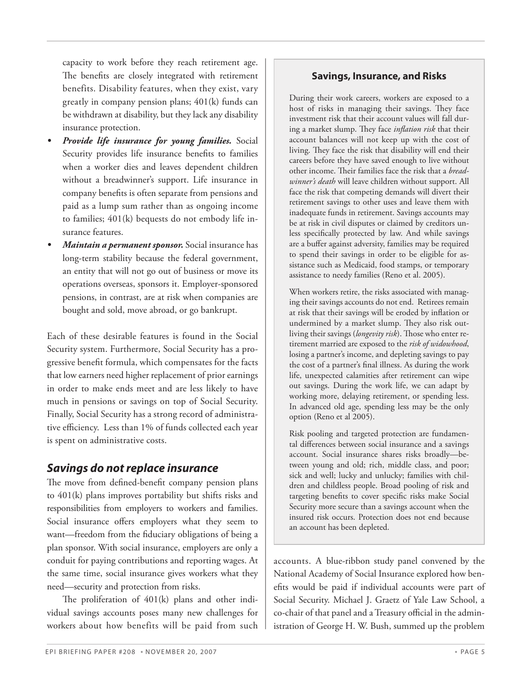that low earners need higher replacement of prior earnings in order to make ends meet and are less likely to have much in pensions or savings on top of Social Security.

tive efficiency. Less than 1% of funds collected each year is spent on administrative costs.

Finally, Social Security has a strong record of administra-

Each of these desirable features is found in the Social Security system. Furthermore, Social Security has a progressive benefit formula, which compensates for the facts

capacity to work before they reach retirement age. The benefits are closely integrated with retirement benefits. Disability features, when they exist, vary greatly in company pension plans; 401(k) funds can be withdrawn at disability, but they lack any disability

*Provide life insurance for young families.* Social Security provides life insurance benefits to families when a worker dies and leaves dependent children without a breadwinner's support. Life insurance in company benefits is often separate from pensions and paid as a lump sum rather than as ongoing income to families; 401(k) bequests do not embody life in-

*Maintain a permanent sponsor.* Social insurance has long-term stability because the federal government, an entity that will not go out of business or move its operations overseas, sponsors it. Employer-sponsored pensions, in contrast, are at risk when companies are bought and sold, move abroad, or go bankrupt.

insurance protection.

surance features.

### *Savings do not replace insurance*

The move from defined-benefit company pension plans to 401(k) plans improves portability but shifts risks and responsibilities from employers to workers and families. Social insurance offers employers what they seem to want—freedom from the fiduciary obligations of being a plan sponsor. With social insurance, employers are only a conduit for paying contributions and reporting wages. At the same time, social insurance gives workers what they need—security and protection from risks.

The proliferation of 401(k) plans and other individual savings accounts poses many new challenges for workers about how benefits will be paid from such

#### **Savings, Insurance, and Risks**

During their work careers, workers are exposed to a host of risks in managing their savings. They face investment risk that their account values will fall during a market slump. They face *inflation risk* that their account balances will not keep up with the cost of living. They face the risk that disability will end their careers before they have saved enough to live without other income. Their families face the risk that a *breadwinner's death* will leave children without support. All face the risk that competing demands will divert their retirement savings to other uses and leave them with inadequate funds in retirement. Savings accounts may be at risk in civil disputes or claimed by creditors unless specifically protected by law. And while savings are a buffer against adversity, families may be required to spend their savings in order to be eligible for assistance such as Medicaid, food stamps, or temporary assistance to needy families (Reno et al. 2005).

When workers retire, the risks associated with managing their savings accounts do not end. Retirees remain at risk that their savings will be eroded by inflation or undermined by a market slump. They also risk outliving their savings (*longevity risk*). Those who enter retirement married are exposed to the *risk of widowhood*, losing a partner's income, and depleting savings to pay the cost of a partner's final illness. As during the work life, unexpected calamities after retirement can wipe out savings. During the work life, we can adapt by working more, delaying retirement, or spending less. In advanced old age, spending less may be the only option (Reno et al 2005).

Risk pooling and targeted protection are fundamental differences between social insurance and a savings account. Social insurance shares risks broadly—between young and old; rich, middle class, and poor; sick and well; lucky and unlucky; families with children and childless people. Broad pooling of risk and targeting benefits to cover specific risks make Social Security more secure than a savings account when the insured risk occurs. Protection does not end because an account has been depleted.

accounts. A blue-ribbon study panel convened by the National Academy of Social Insurance explored how benefits would be paid if individual accounts were part of Social Security. Michael J. Graetz of Yale Law School, a co-chair of that panel and a Treasury official in the administration of George H. W. Bush, summed up the problem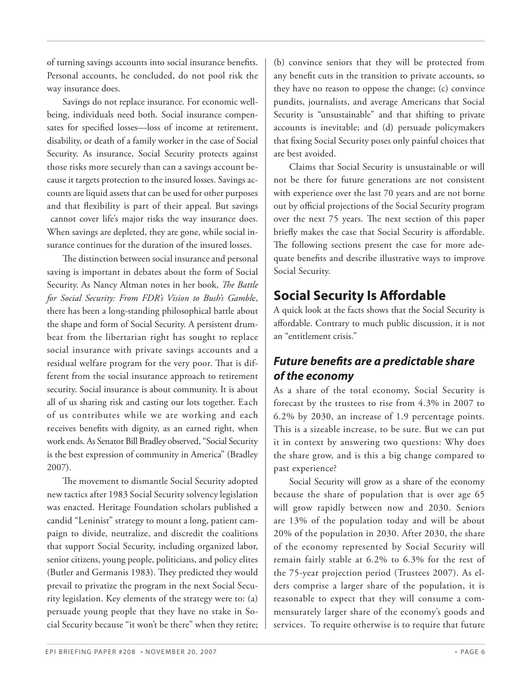of turning savings accounts into social insurance benefits. Personal accounts, he concluded, do not pool risk the way insurance does.

Savings do not replace insurance. For economic wellbeing, individuals need both. Social insurance compensates for specified losses—loss of income at retirement, disability, or death of a family worker in the case of Social Security. As insurance, Social Security protects against those risks more securely than can a savings account because it targets protection to the insured losses. Savings accounts are liquid assets that can be used for other purposes and that flexibility is part of their appeal. But savings cannot cover life's major risks the way insurance does. When savings are depleted, they are gone, while social insurance continues for the duration of the insured losses.

The distinction between social insurance and personal saving is important in debates about the form of Social Security. As Nancy Altman notes in her book, *The Battle for Social Security: From FDR's Vision to Bush's Gambl*e, there has been a long-standing philosophical battle about the shape and form of Social Security. A persistent drumbeat from the libertarian right has sought to replace social insurance with private savings accounts and a residual welfare program for the very poor. That is different from the social insurance approach to retirement security. Social insurance is about community. It is about all of us sharing risk and casting our lots together. Each of us contributes while we are working and each receives benefits with dignity, as an earned right, when work ends. As Senator Bill Bradley observed, "Social Security is the best expression of community in America" (Bradley 2007).

The movement to dismantle Social Security adopted new tactics after 1983 Social Security solvency legislation was enacted. Heritage Foundation scholars published a candid "Leninist" strategy to mount a long, patient campaign to divide, neutralize, and discredit the coalitions that support Social Security, including organized labor, senior citizens, young people, politicians, and policy elites (Butler and Germanis 1983). They predicted they would prevail to privatize the program in the next Social Security legislation. Key elements of the strategy were to: (a) persuade young people that they have no stake in Social Security because "it won't be there" when they retire;

(b) convince seniors that they will be protected from any benefit cuts in the transition to private accounts, so they have no reason to oppose the change; (c) convince pundits, journalists, and average Americans that Social Security is "unsustainable" and that shifting to private accounts is inevitable; and (d) persuade policymakers that fixing Social Security poses only painful choices that are best avoided.

Claims that Social Security is unsustainable or will not be there for future generations are not consistent with experience over the last 70 years and are not borne out by official projections of the Social Security program over the next 75 years. The next section of this paper briefly makes the case that Social Security is affordable. The following sections present the case for more adequate benefits and describe illustrative ways to improve Social Security.

# **Social Security Is Affordable**

A quick look at the facts shows that the Social Security is affordable. Contrary to much public discussion, it is not an "entitlement crisis."

# *Future benefits are a predictable share of the economy*

As a share of the total economy, Social Security is forecast by the trustees to rise from 4.3% in 2007 to 6.2% by 2030, an increase of 1.9 percentage points. This is a sizeable increase, to be sure. But we can put it in context by answering two questions: Why does the share grow, and is this a big change compared to past experience?

Social Security will grow as a share of the economy because the share of population that is over age 65 will grow rapidly between now and 2030. Seniors are 13% of the population today and will be about 20% of the population in 2030. After 2030, the share of the economy represented by Social Security will remain fairly stable at 6.2% to 6.3% for the rest of the 75-year projection period (Trustees 2007). As elders comprise a larger share of the population, it is reasonable to expect that they will consume a commensurately larger share of the economy's goods and services. To require otherwise is to require that future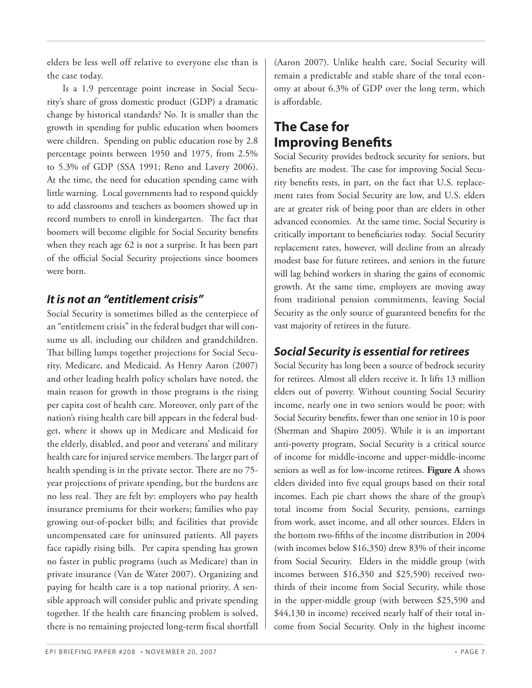elders be less well off relative to everyone else than is the case today.

Is a 1.9 percentage point increase in Social Security's share of gross domestic product (GDP) a dramatic change by historical standards? No. It is smaller than the growth in spending for public education when boomers were children. Spending on public education rose by 2.8 percentage points between 1950 and 1975, from 2.5% to 5.3% of GDP (SSA 1991; Reno and Lavery 2006). At the time, the need for education spending came with little warning. Local governments had to respond quickly to add classrooms and teachers as boomers showed up in record numbers to enroll in kindergarten. The fact that boomers will become eligible for Social Security benefits when they reach age 62 is not a surprise. It has been part of the official Social Security projections since boomers were born.

### *It is not an "entitlement crisis"*

Social Security is sometimes billed as the centerpiece of an "entitlement crisis" in the federal budget that will consume us all, including our children and grandchildren. That billing lumps together projections for Social Security, Medicare, and Medicaid. As Henry Aaron (2007) and other leading health policy scholars have noted, the main reason for growth in those programs is the rising per capita cost of health care. Moreover, only part of the nation's rising health care bill appears in the federal budget, where it shows up in Medicare and Medicaid for the elderly, disabled, and poor and veterans' and military health care for injured service members. The larger part of health spending is in the private sector. There are no 75 year projections of private spending, but the burdens are no less real. They are felt by: employers who pay health insurance premiums for their workers; families who pay growing out-of-pocket bills; and facilities that provide uncompensated care for uninsured patients. All payers face rapidly rising bills. Per capita spending has grown no faster in public programs (such as Medicare) than in private insurance (Van de Water 2007). Organizing and paying for health care is a top national priority. A sensible approach will consider public and private spending together. If the health care financing problem is solved, there is no remaining projected long-term fiscal shortfall

(Aaron 2007). Unlike health care, Social Security will remain a predictable and stable share of the total economy at about 6.3% of GDP over the long term, which is affordable.

# **The Case for Improving Benefits**

Social Security provides bedrock security for seniors, but benefits are modest. The case for improving Social Security benefits rests, in part, on the fact that U.S. replacement rates from Social Security are low, and U.S. elders are at greater risk of being poor than are elders in other advanced economies. At the same time, Social Security is critically important to beneficiaries today. Social Security replacement rates, however, will decline from an already modest base for future retirees, and seniors in the future will lag behind workers in sharing the gains of economic growth. At the same time, employers are moving away from traditional pension commitments, leaving Social Security as the only source of guaranteed benefits for the vast majority of retirees in the future.

# *Social Security is essential for retirees*

Social Security has long been a source of bedrock security for retirees. Almost all elders receive it. It lifts 13 million elders out of poverty. Without counting Social Security income, nearly one in two seniors would be poor; with Social Security benefits, fewer than one senior in 10 is poor (Sherman and Shapiro 2005). While it is an important anti-poverty program, Social Security is a critical source of income for middle-income and upper-middle-income seniors as well as for low-income retirees. **Figure A** shows elders divided into five equal groups based on their total incomes. Each pie chart shows the share of the group's total income from Social Security, pensions, earnings from work, asset income, and all other sources. Elders in the bottom two-fifths of the income distribution in 2004 (with incomes below \$16,350) drew 83% of their income from Social Security. Elders in the middle group (with incomes between \$16,350 and \$25,590) received twothirds of their income from Social Security, while those in the upper-middle group (with between \$25,590 and \$44,130 in income) received nearly half of their total income from Social Security. Only in the highest income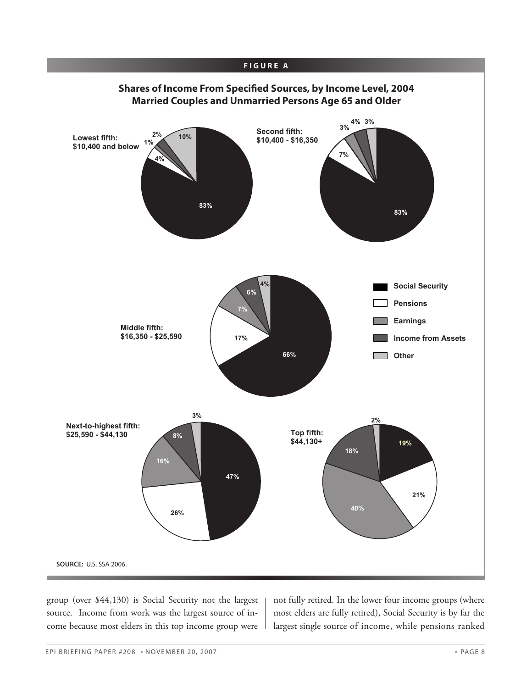

group (over \$44,130) is Social Security not the largest source. Income from work was the largest source of income because most elders in this top income group were not fully retired. In the lower four income groups (where most elders are fully retired), Social Security is by far the largest single source of income, while pensions ranked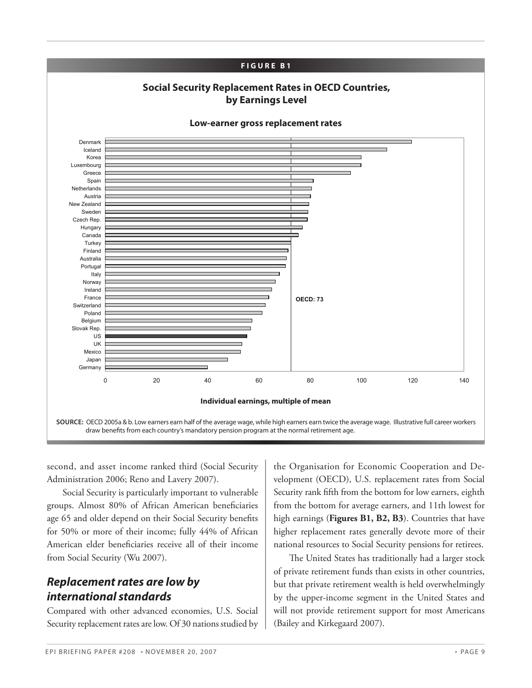

second, and asset income ranked third (Social Security Administration 2006; Reno and Lavery 2007).

Social Security is particularly important to vulnerable groups. Almost 80% of African American beneficiaries age 65 and older depend on their Social Security benefits for 50% or more of their income; fully 44% of African American elder beneficiaries receive all of their income from Social Security (Wu 2007).

### *Replacement rates are low by international standards*

Compared with other advanced economies, U.S. Social Security replacement rates are low. Of 30 nations studied by

the Organisation for Economic Cooperation and Development (OECD), U.S. replacement rates from Social Security rank fifth from the bottom for low earners, eighth from the bottom for average earners, and 11th lowest for high earnings (**Figures B1, B2, B3**). Countries that have higher replacement rates generally devote more of their national resources to Social Security pensions for retirees.

The United States has traditionally had a larger stock of private retirement funds than exists in other countries, but that private retirement wealth is held overwhelmingly by the upper-income segment in the United States and will not provide retirement support for most Americans (Bailey and Kirkegaard 2007).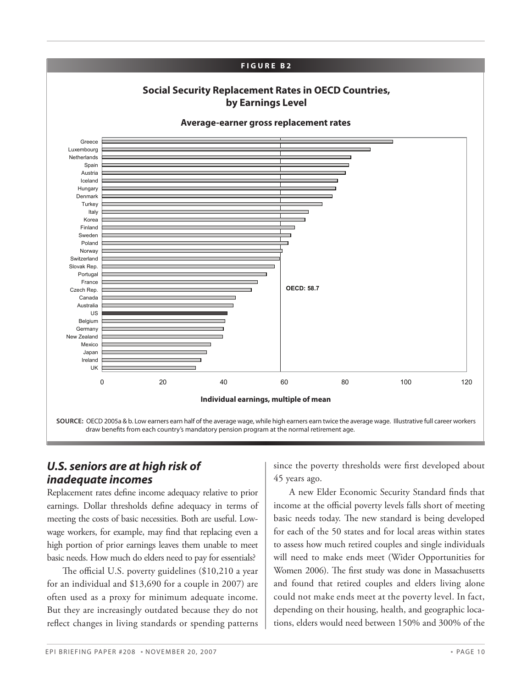

### *U.S. seniors are at high risk of inadequate incomes*

Replacement rates define income adequacy relative to prior earnings. Dollar thresholds define adequacy in terms of meeting the costs of basic necessities. Both are useful. Lowwage workers, for example, may find that replacing even a high portion of prior earnings leaves them unable to meet basic needs. How much do elders need to pay for essentials?

The official U.S. poverty guidelines (\$10,210 a year for an individual and \$13,690 for a couple in 2007) are often used as a proxy for minimum adequate income. But they are increasingly outdated because they do not reflect changes in living standards or spending patterns since the poverty thresholds were first developed about 45 years ago.

A new Elder Economic Security Standard finds that income at the official poverty levels falls short of meeting basic needs today. The new standard is being developed for each of the 50 states and for local areas within states to assess how much retired couples and single individuals will need to make ends meet (Wider Opportunities for Women 2006). The first study was done in Massachusetts and found that retired couples and elders living alone could not make ends meet at the poverty level. In fact, depending on their housing, health, and geographic locations, elders would need between 150% and 300% of the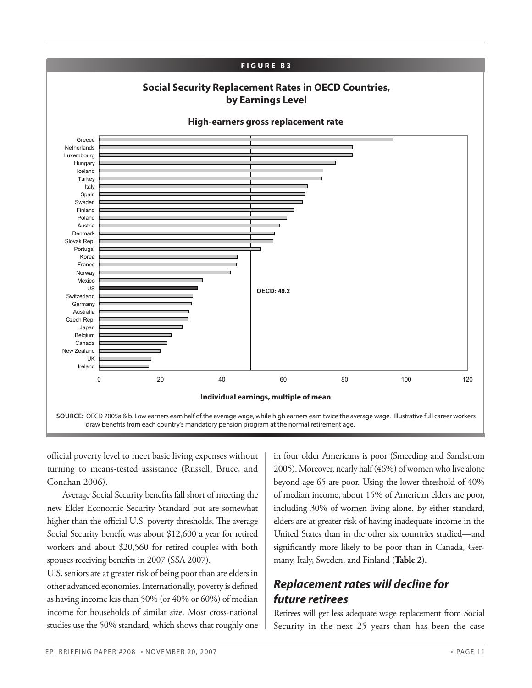

official poverty level to meet basic living expenses without turning to means-tested assistance (Russell, Bruce, and Conahan 2006).

Average Social Security benefits fall short of meeting the new Elder Economic Security Standard but are somewhat higher than the official U.S. poverty thresholds. The average Social Security benefit was about \$12,600 a year for retired workers and about \$20,560 for retired couples with both spouses receiving benefits in 2007 (SSA 2007).

U.S. seniors are at greater risk of being poor than are elders in other advanced economies. Internationally, poverty is defined as having income less than 50% (or 40% or 60%) of median income for households of similar size. Most cross-national studies use the 50% standard, which shows that roughly one

in four older Americans is poor (Smeeding and Sandstrom 2005). Moreover, nearly half (46%) of women who live alone beyond age 65 are poor. Using the lower threshold of 40% of median income, about 15% of American elders are poor, including 30% of women living alone. By either standard, elders are at greater risk of having inadequate income in the United States than in the other six countries studied—and significantly more likely to be poor than in Canada, Germany, Italy, Sweden, and Finland (**Table 2**).

# *Replacement rates will decline for future retirees*

Retirees will get less adequate wage replacement from Social Security in the next 25 years than has been the case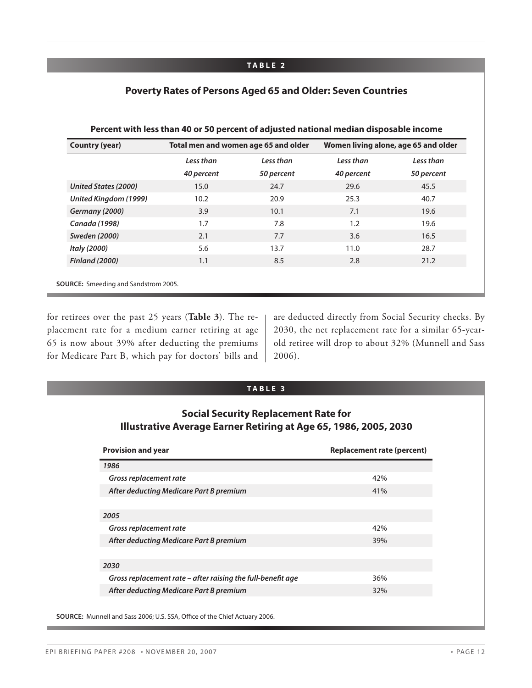#### **TA B L E 2**

| Poverty Rates of Persons Aged 65 and Older: Seven Countries |  |  |  |  |  |  |  |
|-------------------------------------------------------------|--|--|--|--|--|--|--|
|-------------------------------------------------------------|--|--|--|--|--|--|--|

| <b>Country (year)</b>                       |            | Total men and women age 65 and older | Women living alone, age 65 and older |            |  |
|---------------------------------------------|------------|--------------------------------------|--------------------------------------|------------|--|
|                                             | Less than  | Less than                            | Less than                            | Less than  |  |
|                                             | 40 percent | 50 percent                           | 40 percent                           | 50 percent |  |
| <b>United States (2000)</b>                 | 15.0       | 24.7                                 | 29.6                                 | 45.5       |  |
| United Kingdom (1999)                       | 10.2       | 20.9                                 | 25.3                                 | 40.7       |  |
| Germany (2000)                              | 3.9        | 10.1                                 | 7.1                                  | 19.6       |  |
| Canada (1998)                               | 1.7        | 7.8                                  | 1.2                                  | 19.6       |  |
| <b>Sweden (2000)</b>                        | 2.1        | 7.7                                  | 3.6                                  | 16.5       |  |
| Italy (2000)                                | 5.6        | 13.7                                 | 11.0                                 | 28.7       |  |
| <b>Finland (2000)</b>                       | 1.1        | 8.5                                  | 2.8                                  | 21.2       |  |
|                                             |            |                                      |                                      |            |  |
| <b>SOURCE:</b> Smeeding and Sandstrom 2005. |            |                                      |                                      |            |  |

#### **Percent with less than 40 or 50 percent of adjusted national median disposable income**

for retirees over the past 25 years (**Table 3**). The replacement rate for a medium earner retiring at age 65 is now about 39% after deducting the premiums for Medicare Part B, which pay for doctors' bills and

are deducted directly from Social Security checks. By 2030, the net replacement rate for a similar 65-yearold retiree will drop to about 32% (Munnell and Sass 2006).

| TABLE 3<br><b>Social Security Replacement Rate for</b><br>Illustrative Average Earner Retiring at Age 65, 1986, 2005, 2030 |                            |
|----------------------------------------------------------------------------------------------------------------------------|----------------------------|
| <b>Provision and year</b>                                                                                                  | Replacement rate (percent) |
| 1986                                                                                                                       |                            |
| Gross replacement rate                                                                                                     | 42%                        |
| After deducting Medicare Part B premium                                                                                    | 41%                        |
|                                                                                                                            |                            |
| 2005                                                                                                                       |                            |
| Gross replacement rate                                                                                                     | 42%                        |
| After deducting Medicare Part B premium                                                                                    | 39%                        |
|                                                                                                                            |                            |
| 2030                                                                                                                       |                            |
| Gross replacement rate – after raising the full-benefit age                                                                | 36%                        |
| After deducting Medicare Part B premium                                                                                    | 32%                        |
| SOURCE: Munnell and Sass 2006; U.S. SSA, Office of the Chief Actuary 2006.                                                 |                            |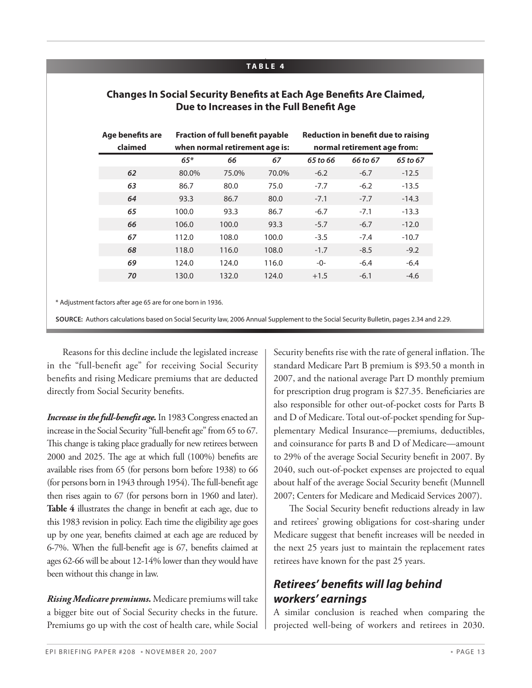#### **TA B L E 4**

| Age benefits are<br>claimed | <b>Fraction of full benefit payable</b><br>when normal retirement age is: |       |       | <b>Reduction in benefit due to raising</b><br>normal retirement age from: |          |          |
|-----------------------------|---------------------------------------------------------------------------|-------|-------|---------------------------------------------------------------------------|----------|----------|
|                             | $65*$                                                                     | 66    | 67    | 65 to 66                                                                  | 66 to 67 | 65 to 67 |
| 62                          | 80.0%                                                                     | 75.0% | 70.0% | $-6.2$                                                                    | $-6.7$   | $-12.5$  |
| 63                          | 86.7                                                                      | 80.0  | 75.0  | $-7.7$                                                                    | $-6.2$   | $-13.5$  |
| 64                          | 93.3                                                                      | 86.7  | 80.0  | $-7.1$                                                                    | $-7.7$   | $-14.3$  |
| 65                          | 100.0                                                                     | 93.3  | 86.7  | $-6.7$                                                                    | $-7.1$   | $-13.3$  |
| 66                          | 106.0                                                                     | 100.0 | 93.3  | $-5.7$                                                                    | $-6.7$   | $-12.0$  |
| 67                          | 112.0                                                                     | 108.0 | 100.0 | $-3.5$                                                                    | $-7.4$   | $-10.7$  |
| 68                          | 118.0                                                                     | 116.0 | 108.0 | $-1.7$                                                                    | $-8.5$   | $-9.2$   |
| 69                          | 124.0                                                                     | 124.0 | 116.0 | $-0-$                                                                     | $-6.4$   | $-6.4$   |
| 70                          | 130.0                                                                     | 132.0 | 124.0 | $+1.5$                                                                    | $-6.1$   | $-4.6$   |

#### **Changes In Social Security Benefits at Each Age Benefits Are Claimed, Due to Increases in the Full Benefit Age**

\* Adjustment factors after age 65 are for one born in 1936.

 $\overline{a}$ 

**Source:** Authors calculations based on Social Security law, 2006 Annual Supplement to the Social Security Bulletin, pages 2.34 and 2.29.

Reasons for this decline include the legislated increase in the "full-benefit age" for receiving Social Security benefits and rising Medicare premiums that are deducted directly from Social Security benefits.

*Increase in the full-benefit age.* In 1983 Congress enacted an increase in the Social Security "full-benefit age" from 65 to 67. This change is taking place gradually for new retirees between 2000 and 2025. The age at which full (100%) benefits are available rises from 65 (for persons born before 1938) to 66 (for persons born in 1943 through 1954). The full-benefit age then rises again to 67 (for persons born in 1960 and later). **Table 4** illustrates the change in benefit at each age, due to this 1983 revision in policy. Each time the eligibility age goes up by one year, benefits claimed at each age are reduced by 6-7%. When the full-benefit age is 67, benefits claimed at ages 62-66 will be about 12-14% lower than they would have been without this change in law.

*Rising Medicare premiums.* Medicare premiums will take a bigger bite out of Social Security checks in the future. Premiums go up with the cost of health care, while Social Security benefits rise with the rate of general inflation. The standard Medicare Part B premium is \$93.50 a month in 2007, and the national average Part D monthly premium for prescription drug program is \$27.35. Beneficiaries are also responsible for other out-of-pocket costs for Parts B and D of Medicare. Total out-of-pocket spending for Supplementary Medical Insurance—premiums, deductibles, and coinsurance for parts B and D of Medicare—amount to 29% of the average Social Security benefit in 2007. By 2040, such out-of-pocket expenses are projected to equal about half of the average Social Security benefit (Munnell 2007; Centers for Medicare and Medicaid Services 2007).

The Social Security benefit reductions already in law and retirees' growing obligations for cost-sharing under Medicare suggest that benefit increases will be needed in the next 25 years just to maintain the replacement rates retirees have known for the past 25 years.

## *Retirees' benefits will lag behind workers' earnings*

A similar conclusion is reached when comparing the projected well-being of workers and retirees in 2030.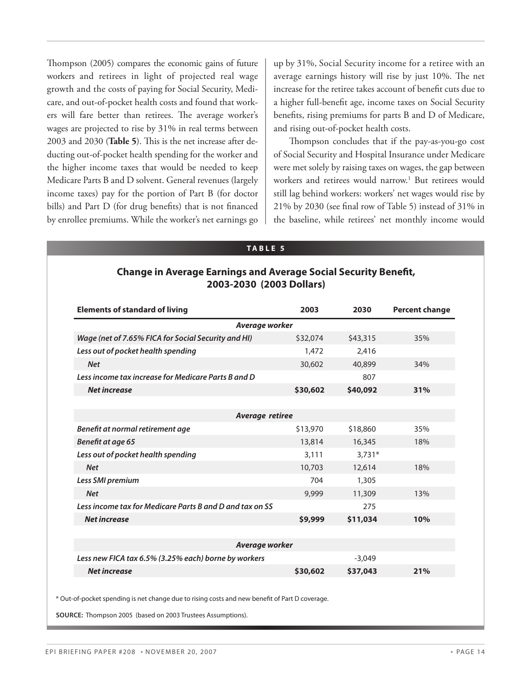Thompson (2005) compares the economic gains of future workers and retirees in light of projected real wage growth and the costs of paying for Social Security, Medicare, and out-of-pocket health costs and found that workers will fare better than retirees. The average worker's wages are projected to rise by 31% in real terms between 2003 and 2030 (**Table 5**). This is the net increase after deducting out-of-pocket health spending for the worker and the higher income taxes that would be needed to keep Medicare Parts B and D solvent. General revenues (largely income taxes) pay for the portion of Part B (for doctor bills) and Part D (for drug benefits) that is not financed by enrollee premiums. While the worker's net earnings go

up by 31%, Social Security income for a retiree with an average earnings history will rise by just 10%. The net increase for the retiree takes account of benefit cuts due to a higher full-benefit age, income taxes on Social Security benefits, rising premiums for parts B and D of Medicare, and rising out-of-pocket health costs.

Thompson concludes that if the pay-as-you-go cost of Social Security and Hospital Insurance under Medicare were met solely by raising taxes on wages, the gap between workers and retirees would narrow.1 But retirees would still lag behind workers: workers' net wages would rise by 21% by 2030 (see final row of Table 5) instead of 31% in the baseline, while retirees' net monthly income would

#### **TA B L E 5**

#### **Change in Average Earnings and Average Social Security Benefit, 2003-2030 (2003 Dollars)**

| <b>Elements of standard of living</b>                    | 2003     | 2030     | <b>Percent change</b> |
|----------------------------------------------------------|----------|----------|-----------------------|
| Average worker                                           |          |          |                       |
| Wage (net of 7.65% FICA for Social Security and HI)      | \$32,074 | \$43,315 | 35%                   |
| Less out of pocket health spending                       | 1,472    | 2,416    |                       |
| <b>Net</b>                                               | 30,602   | 40,899   | 34%                   |
| Less income tax increase for Medicare Parts B and D      |          | 807      |                       |
| <b>Net increase</b>                                      | \$30,602 | \$40,092 | 31%                   |
|                                                          |          |          |                       |
| <b>Average retiree</b>                                   |          |          |                       |
| Benefit at normal retirement age                         | \$13,970 | \$18,860 | 35%                   |
| Benefit at age 65                                        | 13,814   | 16,345   | 18%                   |
| Less out of pocket health spending                       | 3,111    | $3,731*$ |                       |
| <b>Net</b>                                               | 10,703   | 12,614   | 18%                   |
| Less SMI premium                                         | 704      | 1,305    |                       |
| <b>Net</b>                                               | 9,999    | 11,309   | 13%                   |
| Less income tax for Medicare Parts B and D and tax on SS |          | 275      |                       |
| <b>Net increase</b>                                      | \$9,999  | \$11,034 | 10%                   |
|                                                          |          |          |                       |
| Average worker                                           |          |          |                       |
| Less new FICA tax 6.5% (3.25% each) borne by workers     |          | $-3,049$ |                       |
| <b>Net increase</b>                                      | \$30,602 | \$37,043 | 21%                   |

\* Out-of-pocket spending is net change due to rising costs and new benefit of Part D

**Source:** Thompson 2005 (based on 2003 Trustees Assumptions).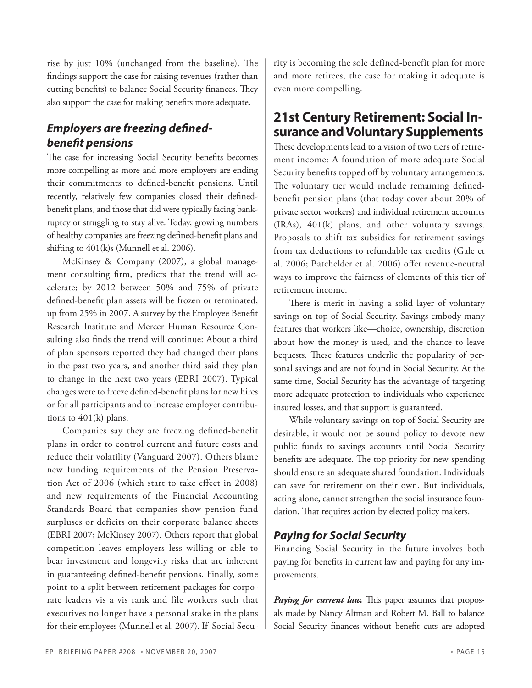rise by just 10% (unchanged from the baseline). The findings support the case for raising revenues (rather than cutting benefits) to balance Social Security finances. They also support the case for making benefits more adequate.

### *Employers are freezing definedbenefit pensions*

The case for increasing Social Security benefits becomes more compelling as more and more employers are ending their commitments to defined-benefit pensions. Until recently, relatively few companies closed their definedbenefit plans, and those that did were typically facing bankruptcy or struggling to stay alive. Today, growing numbers of healthy companies are freezing defined-benefit plans and shifting to 401(k)s (Munnell et al. 2006).

McKinsey & Company (2007), a global management consulting firm, predicts that the trend will accelerate; by 2012 between 50% and 75% of private defined-benefit plan assets will be frozen or terminated, up from 25% in 2007. A survey by the Employee Benefit Research Institute and Mercer Human Resource Consulting also finds the trend will continue: About a third of plan sponsors reported they had changed their plans in the past two years, and another third said they plan to change in the next two years (EBRI 2007). Typical changes were to freeze defined-benefit plans for new hires or for all participants and to increase employer contributions to 401(k) plans.

Companies say they are freezing defined-benefit plans in order to control current and future costs and reduce their volatility (Vanguard 2007). Others blame new funding requirements of the Pension Preservation Act of 2006 (which start to take effect in 2008) and new requirements of the Financial Accounting Standards Board that companies show pension fund surpluses or deficits on their corporate balance sheets (EBRI 2007; McKinsey 2007). Others report that global competition leaves employers less willing or able to bear investment and longevity risks that are inherent in guaranteeing defined-benefit pensions. Finally, some point to a split between retirement packages for corporate leaders vis a vis rank and file workers such that executives no longer have a personal stake in the plans for their employees (Munnell et al. 2007). If Social Security is becoming the sole defined-benefit plan for more and more retirees, the case for making it adequate is even more compelling.

# **21st Century Retirement: Social Insurance and Voluntary Supplements**

These developments lead to a vision of two tiers of retirement income: A foundation of more adequate Social Security benefits topped off by voluntary arrangements. The voluntary tier would include remaining definedbenefit pension plans (that today cover about 20% of private sector workers) and individual retirement accounts (IRAs), 401(k) plans, and other voluntary savings. Proposals to shift tax subsidies for retirement savings from tax deductions to refundable tax credits (Gale et al. 2006; Batchelder et al. 2006) offer revenue-neutral ways to improve the fairness of elements of this tier of retirement income.

There is merit in having a solid layer of voluntary savings on top of Social Security. Savings embody many features that workers like—choice, ownership, discretion about how the money is used, and the chance to leave bequests. These features underlie the popularity of personal savings and are not found in Social Security. At the same time, Social Security has the advantage of targeting more adequate protection to individuals who experience insured losses, and that support is guaranteed.

While voluntary savings on top of Social Security are desirable, it would not be sound policy to devote new public funds to savings accounts until Social Security benefits are adequate. The top priority for new spending should ensure an adequate shared foundation. Individuals can save for retirement on their own. But individuals, acting alone, cannot strengthen the social insurance foundation. That requires action by elected policy makers.

### *Paying for Social Security*

Financing Social Security in the future involves both paying for benefits in current law and paying for any improvements.

*Paying for current law.* This paper assumes that proposals made by Nancy Altman and Robert M. Ball to balance Social Security finances without benefit cuts are adopted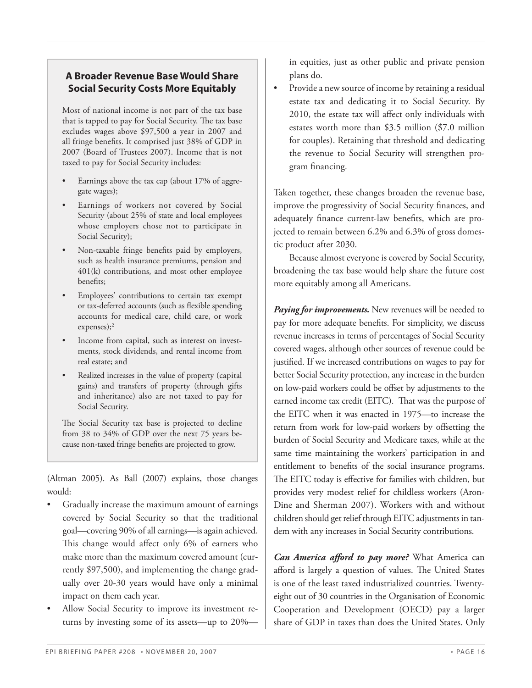#### **A Broader Revenue Base Would Share Social Security Costs More Equitably**

Most of national income is not part of the tax base that is tapped to pay for Social Security. The tax base excludes wages above \$97,500 a year in 2007 and all fringe benefits. It comprised just 38% of GDP in 2007 (Board of Trustees 2007). Income that is not taxed to pay for Social Security includes:

- Earnings above the tax cap (about 17% of aggregate wages);
- Earnings of workers not covered by Social Security (about 25% of state and local employees whose employers chose not to participate in Social Security);
- Non-taxable fringe benefits paid by employers, such as health insurance premiums, pension and 401(k) contributions, and most other employee benefits;
- Employees' contributions to certain tax exempt or tax-deferred accounts (such as flexible spending accounts for medical care, child care, or work expenses);2
- Income from capital, such as interest on investments, stock dividends, and rental income from real estate; and
- Realized increases in the value of property (capital gains) and transfers of property (through gifts and inheritance) also are not taxed to pay for Social Security.

The Social Security tax base is projected to decline from 38 to 34% of GDP over the next 75 years because non-taxed fringe benefits are projected to grow.

(Altman 2005). As Ball (2007) explains, those changes would:

- Gradually increase the maximum amount of earnings covered by Social Security so that the traditional goal—covering 90% of all earnings—is again achieved. This change would affect only 6% of earners who make more than the maximum covered amount (currently \$97,500), and implementing the change gradually over 20-30 years would have only a minimal impact on them each year.
- Allow Social Security to improve its investment returns by investing some of its assets—up to 20%—

in equities, just as other public and private pension plans do.

• Provide a new source of income by retaining a residual estate tax and dedicating it to Social Security. By 2010, the estate tax will affect only individuals with estates worth more than \$3.5 million (\$7.0 million for couples). Retaining that threshold and dedicating the revenue to Social Security will strengthen program financing.

Taken together, these changes broaden the revenue base, improve the progressivity of Social Security finances, and adequately finance current-law benefits, which are projected to remain between 6.2% and 6.3% of gross domestic product after 2030.

Because almost everyone is covered by Social Security, broadening the tax base would help share the future cost more equitably among all Americans.

*Paying for improvements.* New revenues will be needed to pay for more adequate benefits. For simplicity, we discuss revenue increases in terms of percentages of Social Security covered wages, although other sources of revenue could be justified. If we increased contributions on wages to pay for better Social Security protection, any increase in the burden on low-paid workers could be offset by adjustments to the earned income tax credit (EITC). That was the purpose of the EITC when it was enacted in 1975—to increase the return from work for low-paid workers by offsetting the burden of Social Security and Medicare taxes, while at the same time maintaining the workers' participation in and entitlement to benefits of the social insurance programs. The EITC today is effective for families with children, but provides very modest relief for childless workers (Aron-Dine and Sherman 2007). Workers with and without children should get relief through EITC adjustments in tandem with any increases in Social Security contributions.

*Can America afford to pay more?* What America can afford is largely a question of values. The United States is one of the least taxed industrialized countries. Twentyeight out of 30 countries in the Organisation of Economic Cooperation and Development (OECD) pay a larger share of GDP in taxes than does the United States. Only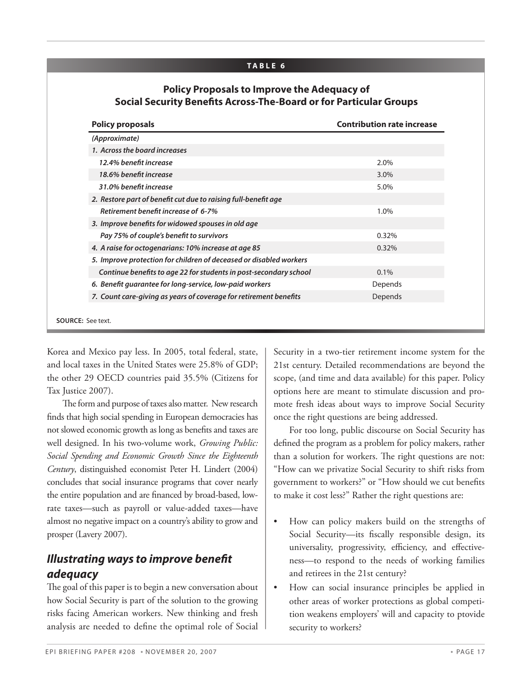#### **TA B L E 6**

#### **Policy Proposals to Improve the Adequacy of Social Security Benefits Across-The-Board or for Particular Groups**

| (Approximate)                                                      |         |
|--------------------------------------------------------------------|---------|
| 1. Across the board increases                                      |         |
| 12.4% benefit increase                                             | 2.0%    |
| 18.6% benefit increase                                             | 3.0%    |
| 31.0% benefit increase                                             | 5.0%    |
| 2. Restore part of benefit cut due to raising full-benefit age     |         |
| Retirement benefit increase of 6-7%                                | 1.0%    |
| 3. Improve benefits for widowed spouses in old age                 |         |
| Pay 75% of couple's benefit to survivors                           | 0.32%   |
| 4. A raise for octogenarians: 10% increase at age 85               | 0.32%   |
| 5. Improve protection for children of deceased or disabled workers |         |
| Continue benefits to age 22 for students in post-secondary school  | $0.1\%$ |
| 6. Benefit quarantee for long-service, low-paid workers            | Depends |
| 7. Count care-giving as years of coverage for retirement benefits  | Depends |

Korea and Mexico pay less. In 2005, total federal, state, and local taxes in the United States were 25.8% of GDP; the other 29 OECD countries paid 35.5% (Citizens for Tax Justice 2007).

The form and purpose of taxes also matter. New research finds that high social spending in European democracies has not slowed economic growth as long as benefits and taxes are well designed. In his two-volume work, *Growing Public: Social Spending and Economic Growth Since the Eighteenth Century*, distinguished economist Peter H. Lindert (2004) concludes that social insurance programs that cover nearly the entire population and are financed by broad-based, lowrate taxes—such as payroll or value-added taxes—have almost no negative impact on a country's ability to grow and prosper (Lavery 2007).

### *Illustrating ways to improve benefit adequacy*

The goal of this paper is to begin a new conversation about how Social Security is part of the solution to the growing risks facing American workers. New thinking and fresh analysis are needed to define the optimal role of Social

Security in a two-tier retirement income system for the 21st century. Detailed recommendations are beyond the scope, (and time and data available) for this paper. Policy options here are meant to stimulate discussion and promote fresh ideas about ways to improve Social Security once the right questions are being addressed.

For too long, public discourse on Social Security has defined the program as a problem for policy makers, rather than a solution for workers. The right questions are not: "How can we privatize Social Security to shift risks from government to workers?" or "How should we cut benefits to make it cost less?" Rather the right questions are:

- How can policy makers build on the strengths of Social Security—its fiscally responsible design, its universality, progressivity, efficiency, and effectiveness—to respond to the needs of working families and retirees in the 21st century?
- How can social insurance principles be applied in other areas of worker protections as global competition weakens employers' will and capacity to ptovide security to workers?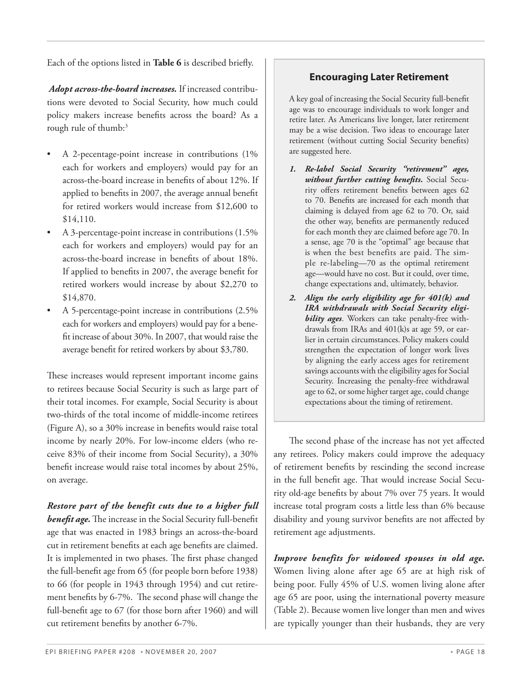Each of the options listed in **Table 6** is described briefly.

*Adopt across-the-board increases.* If increased contributions were devoted to Social Security, how much could policy makers increase benefits across the board? As a rough rule of thumb:<sup>3</sup>

- A 2-pecentage-point increase in contributions (1%) each for workers and employers) would pay for an across-the-board increase in benefits of about 12%. If applied to benefits in 2007, the average annual benefit for retired workers would increase from \$12,600 to \$14,110.
- A 3-percentage-point increase in contributions (1.5%) each for workers and employers) would pay for an across-the-board increase in benefits of about 18%. If applied to benefits in 2007, the average benefit for retired workers would increase by about \$2,270 to \$14,870.
- A 5-percentage-point increase in contributions (2.5%) each for workers and employers) would pay for a benefit increase of about 30%. In 2007, that would raise the average benefit for retired workers by about \$3,780.

These increases would represent important income gains to retirees because Social Security is such as large part of their total incomes. For example, Social Security is about two-thirds of the total income of middle-income retirees (Figure A), so a 30% increase in benefits would raise total income by nearly 20%. For low-income elders (who receive 83% of their income from Social Security), a 30% benefit increase would raise total incomes by about 25%, on average.

*Restore part of the benefit cuts due to a higher full benefit age.* The increase in the Social Security full-benefit age that was enacted in 1983 brings an across-the-board cut in retirement benefits at each age benefits are claimed. It is implemented in two phases. The first phase changed the full-benefit age from 65 (for people born before 1938) to 66 (for people in 1943 through 1954) and cut retirement benefits by 6-7%. The second phase will change the full-benefit age to 67 (for those born after 1960) and will cut retirement benefits by another 6-7%.

### **Encouraging Later Retirement**

A key goal of increasing the Social Security full-benefit age was to encourage individuals to work longer and retire later. As Americans live longer, later retirement may be a wise decision. Two ideas to encourage later retirement (without cutting Social Security benefits) are suggested here.

- *1. Re-label Social Security "retirement" ages, without further cutting benefits.* Social Security offers retirement benefits between ages 62 to 70. Benefits are increased for each month that claiming is delayed from age 62 to 70. Or, said the other way, benefits are permanently reduced for each month they are claimed before age 70. In a sense, age 70 is the "optimal" age because that is when the best benefits are paid. The simple re-labeling—70 as the optimal retirement age—would have no cost. But it could, over time, change expectations and, ultimately, behavior.
- *2. Align the early eligibility age for 401(k) and IRA withdrawals with Social Security eligibility ages*. Workers can take penalty-free withdrawals from IRAs and 401(k)s at age 59, or earlier in certain circumstances. Policy makers could strengthen the expectation of longer work lives by aligning the early access ages for retirement savings accounts with the eligibility ages for Social Security. Increasing the penalty-free withdrawal age to 62, or some higher target age, could change expectations about the timing of retirement.

The second phase of the increase has not yet affected any retirees. Policy makers could improve the adequacy of retirement benefits by rescinding the second increase in the full benefit age. That would increase Social Security old-age benefits by about 7% over 75 years. It would increase total program costs a little less than 6% because disability and young survivor benefits are not affected by retirement age adjustments.

*Improve benefits for widowed spouses in old age.*  Women living alone after age 65 are at high risk of being poor. Fully 45% of U.S. women living alone after age 65 are poor, using the international poverty measure (Table 2). Because women live longer than men and wives are typically younger than their husbands, they are very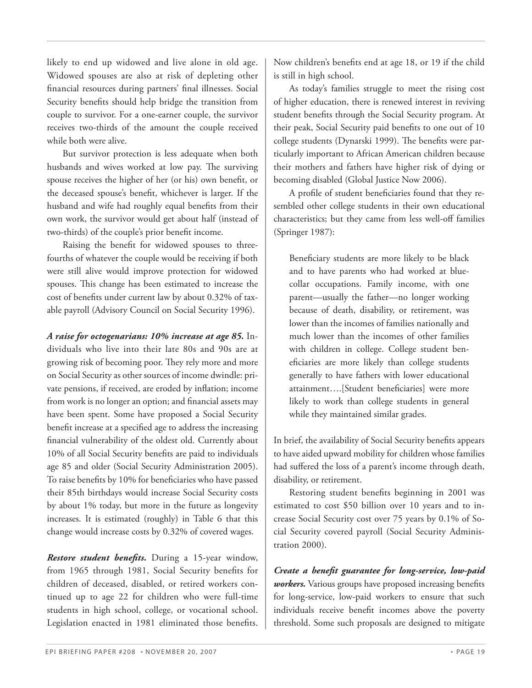likely to end up widowed and live alone in old age. Widowed spouses are also at risk of depleting other financial resources during partners' final illnesses. Social Security benefits should help bridge the transition from couple to survivor. For a one-earner couple, the survivor receives two-thirds of the amount the couple received while both were alive.

But survivor protection is less adequate when both husbands and wives worked at low pay. The surviving spouse receives the higher of her (or his) own benefit, or the deceased spouse's benefit, whichever is larger. If the husband and wife had roughly equal benefits from their own work, the survivor would get about half (instead of two-thirds) of the couple's prior benefit income.

Raising the benefit for widowed spouses to threefourths of whatever the couple would be receiving if both were still alive would improve protection for widowed spouses. This change has been estimated to increase the cost of benefits under current law by about 0.32% of taxable payroll (Advisory Council on Social Security 1996).

*A raise for octogenarians: 10% increase at age 85.* Individuals who live into their late 80s and 90s are at growing risk of becoming poor. They rely more and more on Social Security as other sources of income dwindle: private pensions, if received, are eroded by inflation; income from work is no longer an option; and financial assets may have been spent. Some have proposed a Social Security benefit increase at a specified age to address the increasing financial vulnerability of the oldest old. Currently about 10% of all Social Security benefits are paid to individuals age 85 and older (Social Security Administration 2005). To raise benefits by 10% for beneficiaries who have passed their 85th birthdays would increase Social Security costs by about 1% today, but more in the future as longevity increases. It is estimated (roughly) in Table 6 that this change would increase costs by 0.32% of covered wages.

*Restore student benefits.* During a 15-year window, from 1965 through 1981, Social Security benefits for children of deceased, disabled, or retired workers continued up to age 22 for children who were full-time students in high school, college, or vocational school. Legislation enacted in 1981 eliminated those benefits.

Now children's benefits end at age 18, or 19 if the child is still in high school.

As today's families struggle to meet the rising cost of higher education, there is renewed interest in reviving student benefits through the Social Security program. At their peak, Social Security paid benefits to one out of 10 college students (Dynarski 1999). The benefits were particularly important to African American children because their mothers and fathers have higher risk of dying or becoming disabled (Global Justice Now 2006).

A profile of student beneficiaries found that they resembled other college students in their own educational characteristics; but they came from less well-off families (Springer 1987):

Beneficiary students are more likely to be black and to have parents who had worked at bluecollar occupations. Family income, with one parent—usually the father—no longer working because of death, disability, or retirement, was lower than the incomes of families nationally and much lower than the incomes of other families with children in college. College student beneficiaries are more likely than college students generally to have fathers with lower educational attainment….[Student beneficiaries] were more likely to work than college students in general while they maintained similar grades.

In brief, the availability of Social Security benefits appears to have aided upward mobility for children whose families had suffered the loss of a parent's income through death, disability, or retirement.

Restoring student benefits beginning in 2001 was estimated to cost \$50 billion over 10 years and to increase Social Security cost over 75 years by 0.1% of Social Security covered payroll (Social Security Administration 2000).

*Create a benefit guarantee for long-service, low-paid workers.* Various groups have proposed increasing benefits for long-service, low-paid workers to ensure that such individuals receive benefit incomes above the poverty threshold. Some such proposals are designed to mitigate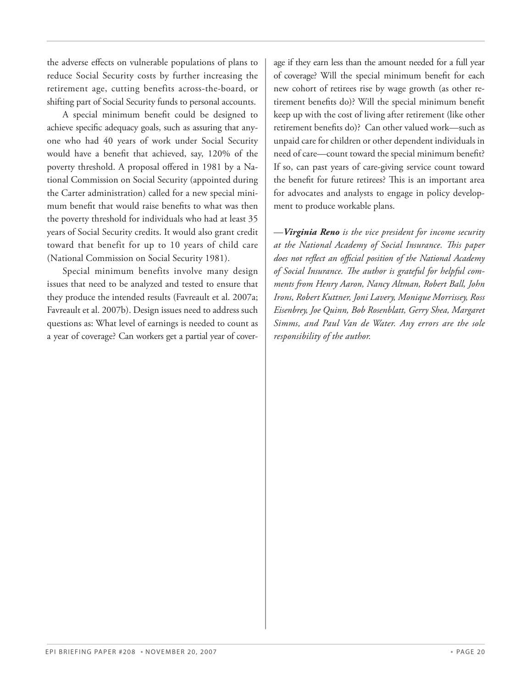the adverse effects on vulnerable populations of plans to reduce Social Security costs by further increasing the retirement age, cutting benefits across-the-board, or shifting part of Social Security funds to personal accounts.

A special minimum benefit could be designed to achieve specific adequacy goals, such as assuring that anyone who had 40 years of work under Social Security would have a benefit that achieved, say, 120% of the poverty threshold. A proposal offered in 1981 by a National Commission on Social Security (appointed during the Carter administration) called for a new special minimum benefit that would raise benefits to what was then the poverty threshold for individuals who had at least 35 years of Social Security credits. It would also grant credit toward that benefit for up to 10 years of child care (National Commission on Social Security 1981).

Special minimum benefits involve many design issues that need to be analyzed and tested to ensure that they produce the intended results (Favreault et al. 2007a; Favreault et al. 2007b). Design issues need to address such questions as: What level of earnings is needed to count as a year of coverage? Can workers get a partial year of coverage if they earn less than the amount needed for a full year of coverage? Will the special minimum benefit for each new cohort of retirees rise by wage growth (as other retirement benefits do)? Will the special minimum benefit keep up with the cost of living after retirement (like other retirement benefits do)? Can other valued work—such as unpaid care for children or other dependent individuals in need of care—count toward the special minimum benefit? If so, can past years of care-giving service count toward the benefit for future retirees? This is an important area for advocates and analysts to engage in policy development to produce workable plans.

—*Virginia Reno is the vice president for income security at the National Academy of Social Insurance. This paper does not reflect an official position of the National Academy of Social Insurance. The author is grateful for helpful comments from Henry Aaron, Nancy Altman, Robert Ball, John Irons, Robert Kuttner, Joni Lavery, Monique Morrissey, Ross Eisenbrey, Joe Quinn, Bob Rosenblatt, Gerry Shea, Margaret Simms, and Paul Van de Water. Any errors are the sole responsibility of the author.*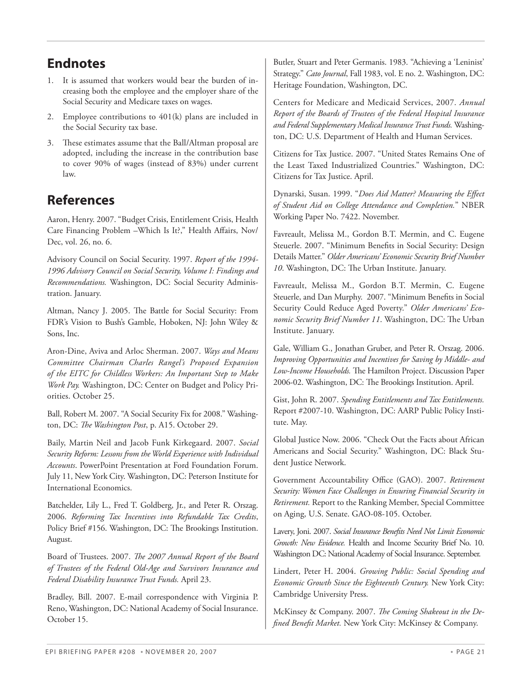# **Endnotes**

- 1. It is assumed that workers would bear the burden of increasing both the employee and the employer share of the Social Security and Medicare taxes on wages.
- 2. Employee contributions to 401(k) plans are included in the Social Security tax base.
- 3. These estimates assume that the Ball/Altman proposal are adopted, including the increase in the contribution base to cover 90% of wages (instead of 83%) under current law.

# **References**

Aaron, Henry. 2007. "Budget Crisis, Entitlement Crisis, Health Care Financing Problem –Which Is It?," Health Affairs, Nov/ Dec, vol. 26, no. 6.

Advisory Council on Social Security. 1997. *Report of the 1994- 1996 Advisory Council on Social Security, Volume I: Findings and Recommendations.* Washington, DC: Social Security Administration. January.

Altman, Nancy J. 2005. The Battle for Social Security: From FDR's Vision to Bush's Gamble, Hoboken, NJ: John Wiley & Sons, Inc.

Aron-Dine, Aviva and Arloc Sherman. 2007. *Ways and Means Committee Chairman Charles Rangel's Proposed Expansion of the EITC for Childless Workers: An Important Step to Make Work Pay.* Washington, DC: Center on Budget and Policy Priorities. October 25.

Ball, Robert M. 2007. "A Social Security Fix for 2008." Washington, DC: *The Washington Post*, p. A15. October 29.

Baily, Martin Neil and Jacob Funk Kirkegaard. 2007. *Social Security Reform: Lessons from the World Experience with Individual Accounts*. PowerPoint Presentation at Ford Foundation Forum. July 11, New York City. Washington, DC: Peterson Institute for International Economics.

Batchelder, Lily L., Fred T. Goldberg, Jr., and Peter R. Orszag. 2006. *Reforming Tax Incentives into Refundable Tax Credits*, Policy Brief #156. Washington, DC: The Brookings Institution. August.

Board of Trustees. 2007. *The 2007 Annual Report of the Board of Trustees of the Federal Old-Age and Survivors Insurance and Federal Disability Insurance Trust Funds.* April 23.

Bradley, Bill. 2007. E-mail correspondence with Virginia P. Reno, Washington, DC: National Academy of Social Insurance. October 15.

Butler, Stuart and Peter Germanis. 1983. "Achieving a 'Leninist' Strategy." *Cato Journal*, Fall 1983, vol. E no. 2. Washington, DC: Heritage Foundation, Washington, DC.

Centers for Medicare and Medicaid Services, 2007. *Annual Report of the Boards of Trustees of the Federal Hospital Insurance and Federal Supplementary Medical Insurance Trust Funds.* Washington, DC: U.S. Department of Health and Human Services.

Citizens for Tax Justice. 2007. "United States Remains One of the Least Taxed Industrialized Countries." Washington, DC: Citizens for Tax Justice. April.

Dynarski, Susan. 1999. "*Does Aid Matter? Measuring the Effect of Student Aid on College Attendance and Completion.*" NBER Working Paper No. 7422. November.

Favreault, Melissa M., Gordon B.T. Mermin, and C. Eugene Steuerle. 2007. "Minimum Benefits in Social Security: Design Details Matter." *Older Americans' Economic Security Brief Number 10*. Washington, DC: The Urban Institute. January.

Favreault, Melissa M., Gordon B.T. Mermin, C. Eugene Steuerle, and Dan Murphy. 2007. "Minimum Benefits in Social Security Could Reduce Aged Poverty." *Older Americans' Economic Security Brief Number 11*. Washington, DC: The Urban Institute. January.

Gale, William G., Jonathan Gruber, and Peter R. Orszag. 2006. *Improving Opportunities and Incentives for Saving by Middle- and Low-Income Households.* The Hamilton Project. Discussion Paper 2006-02. Washington, DC: The Brookings Institution. April.

Gist, John R. 2007. *Spending Entitlements and Tax Entitlements.* Report #2007-10. Washington, DC: AARP Public Policy Institute. May.

Global Justice Now. 2006. "Check Out the Facts about African Americans and Social Security." Washington, DC: Black Student Justice Network.

Government Accountability Office (GAO). 2007. *Retirement Security: Women Face Challenges in Ensuring Financial Security in Retirement.* Report to the Ranking Member, Special Committee on Aging, U.S. Senate. GAO-08-105. October.

Lavery, Joni. 2007. *Social Insurance Benefits Need Not Limit Economic Growth: New Evidence.* Health and Income Security Brief No. 10. Washington DC: National Academy of Social Insurance. September.

Lindert, Peter H. 2004. *Growing Public: Social Spending and Economic Growth Since the Eighteenth Century.* New York City: Cambridge University Press.

McKinsey & Company. 2007. *The Coming Shakeout in the Defined Benefit Market.* New York City: McKinsey & Company.